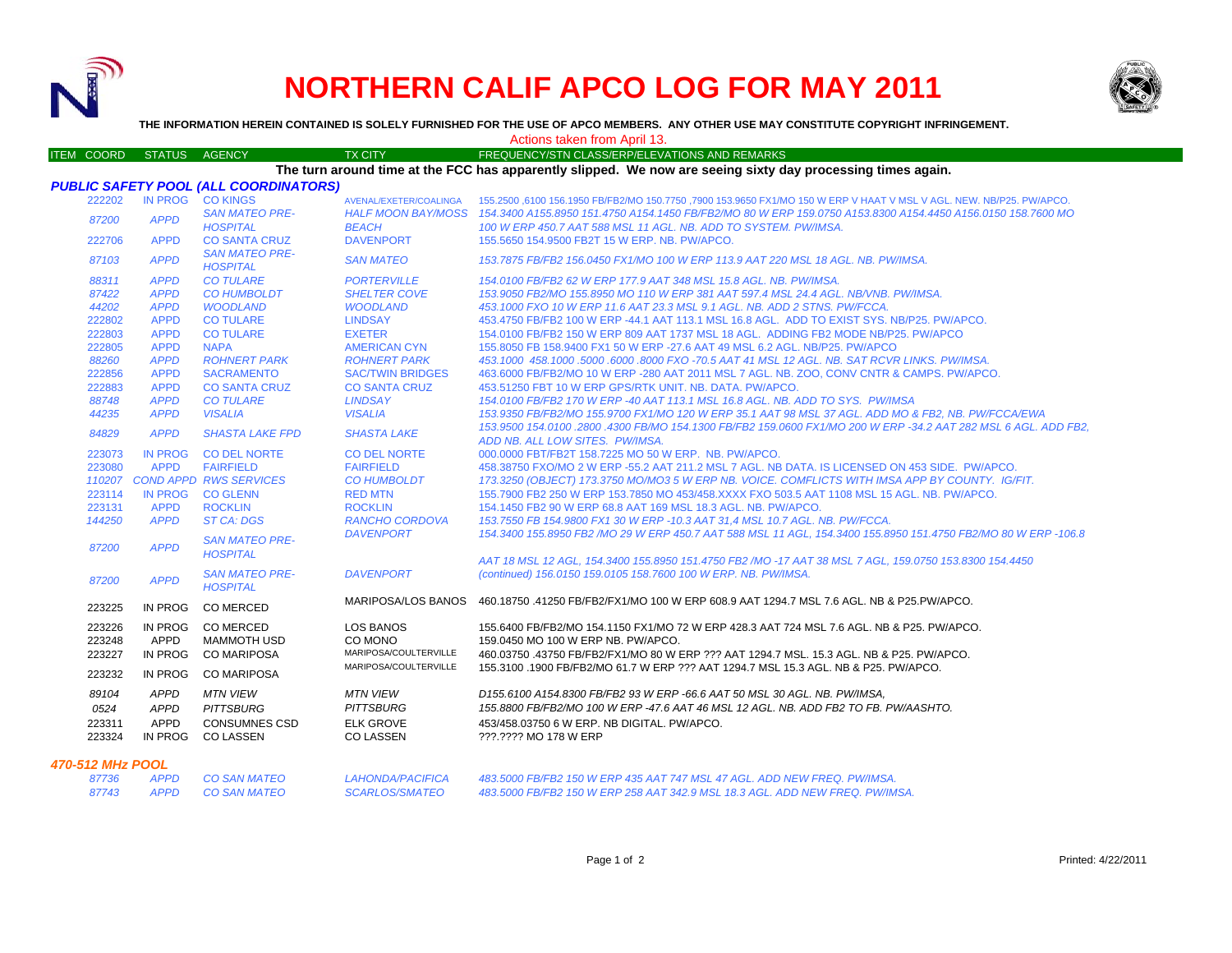

# **NORTHERN CALIF APCO LOG FOR MAY 2011**



**THE INFORMATION HEREIN CONTAINED IS SOLELY FURNISHED FOR THE USE OF APCO MEMBERS. ANY OTHER USE MAY CONSTITUTE COPYRIGHT INFRINGEMENT.**

Actions taken from April 13.

| <b>ITEM COORD</b>                            | <b>STATUS</b>                          | <b>AGENCY</b>                                                                   | <b>TX CITY</b>                                                              | FREQUENCY/STN CLASS/ERP/ELEVATIONS AND REMARKS                                                                                                                                                                                           |  |  |  |  |  |
|----------------------------------------------|----------------------------------------|---------------------------------------------------------------------------------|-----------------------------------------------------------------------------|------------------------------------------------------------------------------------------------------------------------------------------------------------------------------------------------------------------------------------------|--|--|--|--|--|
|                                              |                                        |                                                                                 |                                                                             | The turn around time at the FCC has apparently slipped. We now are seeing sixty day processing times again.                                                                                                                              |  |  |  |  |  |
| <b>PUBLIC SAFETY POOL (ALL COORDINATORS)</b> |                                        |                                                                                 |                                                                             |                                                                                                                                                                                                                                          |  |  |  |  |  |
| 222202                                       | IN PROG CO KINGS                       |                                                                                 | AVENAL/EXETER/COALINGA                                                      | 155.2500 ,6100 156.1950 FB/FB2/MO 150.7750 ,7900 153.9650 FX1/MO 150 W ERP V HAAT V MSL V AGL. NEW. NB/P25. PW/APCO.                                                                                                                     |  |  |  |  |  |
| 87200                                        | <b>APPD</b>                            | <b>SAN MATEO PRE-</b><br><b>HOSPITAL</b>                                        | <b>BEACH</b>                                                                | HALF MOON BAY/MOSS 154.3400 A155.8950 151.4750 A154.1450 FB/FB2/MO 80 W ERP 159.0750 A153.8300 A154.4450 A156.0150 158.7600 MO<br>100 W ERP 450.7 AAT 588 MSL 11 AGL. NB. ADD TO SYSTEM. PW/IMSA.                                        |  |  |  |  |  |
| 222706                                       | <b>APPD</b>                            | <b>CO SANTA CRUZ</b>                                                            | <b>DAVENPORT</b>                                                            | 155.5650 154.9500 FB2T 15 W ERP. NB. PW/APCO.                                                                                                                                                                                            |  |  |  |  |  |
| 87103                                        | <b>APPD</b>                            | <b>SAN MATEO PRE-</b><br><b>HOSPITAL</b>                                        | <b>SAN MATEO</b>                                                            | 153.7875 FB/FB2 156.0450 FX1/MO 100 W ERP 113.9 AAT 220 MSL 18 AGL. NB. PW/IMSA.                                                                                                                                                         |  |  |  |  |  |
| 88311                                        | <b>APPD</b>                            | <b>CO TULARE</b>                                                                | <b>PORTERVILLE</b>                                                          | 154.0100 FB/FB2 62 W ERP 177.9 AAT 348 MSL 15.8 AGL, NB, PW/IMSA,                                                                                                                                                                        |  |  |  |  |  |
| 87422                                        | <b>APPD</b>                            | <b>CO HUMBOLDT</b>                                                              | <b>SHELTER COVE</b>                                                         | 153.9050 FB2/MO 155.8950 MO 110 W ERP 381 AAT 597.4 MSL 24.4 AGL, NB/VNB, PW/IMSA,                                                                                                                                                       |  |  |  |  |  |
| 44202                                        | <b>APPD</b>                            | <b>WOODLAND</b>                                                                 | <b>WOODLAND</b>                                                             | 453.1000 FXO 10 W ERP 11.6 AAT 23.3 MSL 9.1 AGL, NB, ADD 2 STNS, PW/FCCA,                                                                                                                                                                |  |  |  |  |  |
| 222802                                       | <b>APPD</b>                            | <b>CO TULARE</b>                                                                | <b>LINDSAY</b>                                                              | 453.4750 FB/FB2 100 W ERP -44.1 AAT 113.1 MSL 16.8 AGL. ADD TO EXIST SYS. NB/P25. PW/APCO.                                                                                                                                               |  |  |  |  |  |
| 222803                                       | <b>APPD</b>                            | <b>CO TULARE</b>                                                                | <b>EXETER</b>                                                               | 154,0100 FB/FB2 150 W ERP 809 AAT 1737 MSL 18 AGL. ADDING FB2 MODE NB/P25, PW/APCO                                                                                                                                                       |  |  |  |  |  |
| 222805                                       | <b>APPD</b>                            | <b>NAPA</b>                                                                     | <b>AMERICAN CYN</b>                                                         | 155,8050 FB 158,9400 FX1 50 W ERP -27.6 AAT 49 MSL 6.2 AGL, NB/P25, PW/APCO                                                                                                                                                              |  |  |  |  |  |
| 88260                                        | <b>APPD</b>                            | <b>ROHNERT PARK</b>                                                             | <b>ROHNERT PARK</b>                                                         | 453.1000 458.1000 5000 6000 8000 FXO -70.5 AAT 41 MSL 12 AGL. NB. SAT RCVR LINKS. PW/IMSA.                                                                                                                                               |  |  |  |  |  |
| 222856                                       | <b>APPD</b>                            | <b>SACRAMENTO</b>                                                               | <b>SAC/TWIN BRIDGES</b>                                                     | 463.6000 FB/FB2/MO 10 W ERP -280 AAT 2011 MSL 7 AGL. NB. ZOO, CONV CNTR & CAMPS. PW/APCO.                                                                                                                                                |  |  |  |  |  |
| 222883                                       | <b>APPD</b>                            | <b>CO SANTA CRUZ</b>                                                            | <b>CO SANTA CRUZ</b>                                                        | 453.51250 FBT 10 W ERP GPS/RTK UNIT. NB. DATA. PW/APCO.                                                                                                                                                                                  |  |  |  |  |  |
| 88748                                        | <b>APPD</b>                            | <b>CO TULARE</b>                                                                | <b>LINDSAY</b>                                                              | 154,0100 FB/FB2 170 W ERP -40 AAT 113.1 MSL 16.8 AGL, NB, ADD TO SYS, PW/IMSA                                                                                                                                                            |  |  |  |  |  |
| 44235                                        | <b>APPD</b>                            | <b>VISALIA</b>                                                                  | <b>VISALIA</b>                                                              | 153.9350 FB/FB2/MO 155.9700 FX1/MO 120 W ERP 35.1 AAT 98 MSL 37 AGL. ADD MO & FB2. NB. PW/FCCA/EWA                                                                                                                                       |  |  |  |  |  |
| 84829                                        | <b>APPD</b>                            | <b>SHASTA LAKE FPD</b>                                                          | <b>SHASTA LAKE</b>                                                          | 153.9500 154.0100 .2800 .4300 FB/MO 154.1300 FB/FB2 159.0600 FX1/MO 200 W ERP -34.2 AAT 282 MSL 6 AGL. ADD FB2.<br>ADD NB. ALL LOW SITES. PW/IMSA.                                                                                       |  |  |  |  |  |
| 223073                                       | IN PROG                                | <b>CO DEL NORTE</b>                                                             | <b>CO DEL NORTE</b>                                                         | 000,0000 FBT/FB2T 158,7225 MO 50 W ERP. NB. PW/APCO.                                                                                                                                                                                     |  |  |  |  |  |
| 223080                                       | <b>APPD</b>                            | <b>FAIRFIELD</b>                                                                | <b>FAIRFIELD</b>                                                            | 458.38750 FXO/MO 2 W ERP -55.2 AAT 211.2 MSL 7 AGL, NB DATA, IS LICENSED ON 453 SIDE. PW/APCO.                                                                                                                                           |  |  |  |  |  |
|                                              |                                        | 110207 COND APPD RWS SERVICES                                                   | <b>CO HUMBOLDT</b>                                                          | 173.3250 (OBJECT) 173.3750 MO/MO3 5 W ERP NB. VOICE. COMFLICTS WITH IMSA APP BY COUNTY. IG/FIT.                                                                                                                                          |  |  |  |  |  |
| 223114                                       | IN PROG                                | <b>CO GLENN</b>                                                                 | <b>RED MTN</b>                                                              | 155.7900 FB2 250 W ERP 153.7850 MO 453/458.XXXX FXO 503.5 AAT 1108 MSL 15 AGL, NB, PW/APCO,                                                                                                                                              |  |  |  |  |  |
| 223131                                       | <b>APPD</b>                            | <b>ROCKLIN</b>                                                                  | <b>ROCKLIN</b>                                                              | 154.1450 FB2 90 W ERP 68.8 AAT 169 MSL 18.3 AGL. NB. PW/APCO.                                                                                                                                                                            |  |  |  |  |  |
| 144250                                       | <b>APPD</b>                            | ST CA: DGS                                                                      | <b>RANCHO CORDOVA</b>                                                       | 153.7550 FB 154.9800 FX1 30 W ERP -10.3 AAT 31.4 MSL 10.7 AGL. NB. PW/FCCA.                                                                                                                                                              |  |  |  |  |  |
| 87200                                        | <b>APPD</b>                            | <b>SAN MATEO PRE-</b><br><b>HOSPITAL</b>                                        | <b>DAVENPORT</b>                                                            | 154.3400 155.8950 FB2 /MO 29 W ERP 450.7 AAT 588 MSL 11 AGL, 154.3400 155.8950 151.4750 FB2/MO 80 W ERP -106.8                                                                                                                           |  |  |  |  |  |
|                                              |                                        |                                                                                 |                                                                             | AAT 18 MSL 12 AGL, 154.3400 155.8950 151.4750 FB2 /MO -17 AAT 38 MSL 7 AGL, 159.0750 153.8300 154.4450                                                                                                                                   |  |  |  |  |  |
| 87200                                        | <b>APPD</b>                            | <b>SAN MATEO PRE-</b><br><b>HOSPITAL</b>                                        | <b>DAVENPORT</b>                                                            | (continued) 156,0150 159,0105 158,7600 100 W ERP, NB, PW/IMSA,                                                                                                                                                                           |  |  |  |  |  |
| 223225                                       | IN PROG                                | <b>CO MERCED</b>                                                                |                                                                             | MARIPOSA/LOS BANOS 460.18750.41250 FB/FB2/FX1/MO 100 W ERP 608.9 AAT 1294.7 MSL 7.6 AGL. NB & P25.PW/APCO.                                                                                                                               |  |  |  |  |  |
| 223226<br>223248<br>223227                   | IN PROG<br>APPD<br>IN PROG             | <b>CO MERCED</b><br><b>MAMMOTH USD</b><br><b>CO MARIPOSA</b>                    | LOS BANOS<br>CO MONO<br>MARIPOSA/COULTERVILLE                               | 155.6400 FB/FB2/MO 154.1150 FX1/MO 72 W ERP 428.3 AAT 724 MSL 7.6 AGL. NB & P25. PW/APCO.<br>159.0450 MO 100 W ERP NB. PW/APCO.<br>460.03750 .43750 FB/FB2/FX1/MO 80 W ERP ??? AAT 1294.7 MSL. 15.3 AGL. NB & P25. PW/APCO.              |  |  |  |  |  |
| 223232                                       | IN PROG                                | <b>CO MARIPOSA</b>                                                              | MARIPOSA/COULTERVILLE                                                       | 155.3100 .1900 FB/FB2/MO 61.7 W ERP ??? AAT 1294.7 MSL 15.3 AGL. NB & P25. PW/APCO.                                                                                                                                                      |  |  |  |  |  |
| 89104<br>0524<br>223311<br>223324            | <b>APPD</b><br>APPD<br>APPD<br>IN PROG | <b>MTN VIEW</b><br><b>PITTSBURG</b><br><b>CONSUMNES CSD</b><br><b>CO LASSEN</b> | <b>MTN VIEW</b><br><b>PITTSBURG</b><br><b>ELK GROVE</b><br><b>CO LASSEN</b> | D155.6100 A154.8300 FB/FB2 93 W ERP -66.6 AAT 50 MSL 30 AGL. NB. PW/IMSA.<br>155.8800 FB/FB2/MO 100 W ERP -47.6 AAT 46 MSL 12 AGL. NB. ADD FB2 TO FB. PW/AASHTO.<br>453/458.03750 6 W ERP. NB DIGITAL. PW/APCO.<br>???.???? MO 178 W ERP |  |  |  |  |  |
|                                              |                                        |                                                                                 |                                                                             |                                                                                                                                                                                                                                          |  |  |  |  |  |

### *470-512 MHz POOL*

| 87736 | APPD        | CO SAN MA  |
|-------|-------------|------------|
| 87743 | <b>APPD</b> | CO SAN MAT |

*87736 APPD CO SAN MATEO LAHONDA/PACIFICA 483.5000 FB/FB2 150 W ERP 435 AAT 747 MSL 47 AGL. ADD NEW FREQ. PW/IMSA. 87743 APPD CO SAN MATEO SCARLOS/SMATEO 483.5000 FB/FB2 150 W ERP 258 AAT 342.9 MSL 18.3 AGL. ADD NEW FREQ. PW/IMSA.*